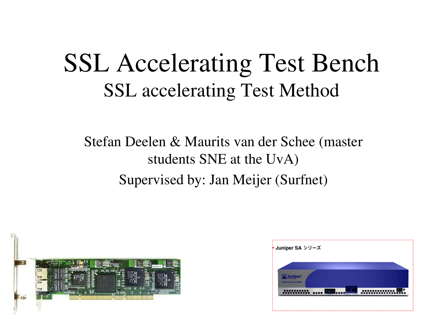#### SSL Accelerating Test Bench SSL accelerating Test Method

#### Stefan Deelen & Maurits van der Schee (master students SNE at the UvA) Supervised by: Jan Meijer (Surfnet)



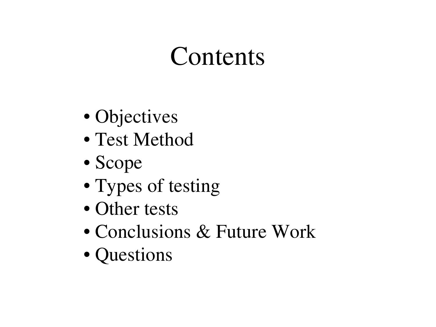## Contents

- Objectives
- Test Method
- Scope
- Types of testing
- Other tests
- Conclusions & Future Work
- Questions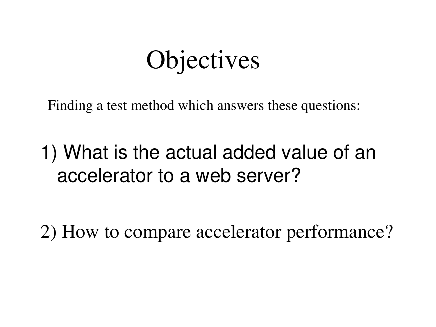## **Objectives**

Finding a test method which answers these questions:

1) What is the actual added value of an accelerator to a web server?

2) How to compare accelerator performance?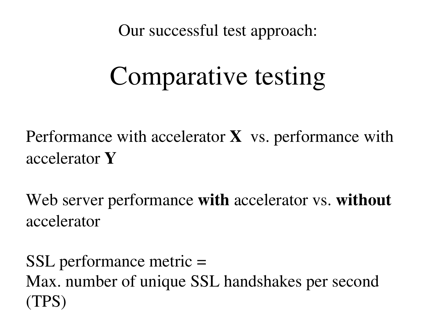Our successful test approach:

# Comparative testing

Performance with accelerator  $X$  vs. performance with accelerator Y

Web server performance with accelerator vs. without accelerator

SSL performance metric = Max. number of unique SSL handshakes per second (TPS)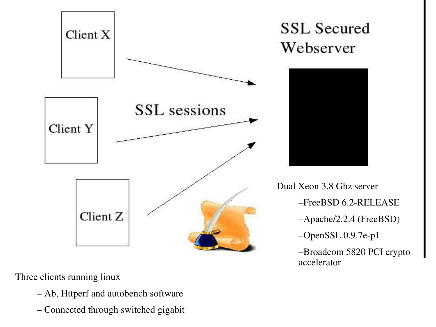

Three clients running linux

- Ab, Httperf and autobench software
- Connected through switched gigabit

#### **SSL Secured** Webserver



Dual Xeon 3,8 Ghz server –FreeBSD 6.2RELEASE –Apache/2.2.4 (FreeBSD)  $-$ OpenSSL 0.9.7e-p1 –Broadcom 5820 PCI crypto accelerator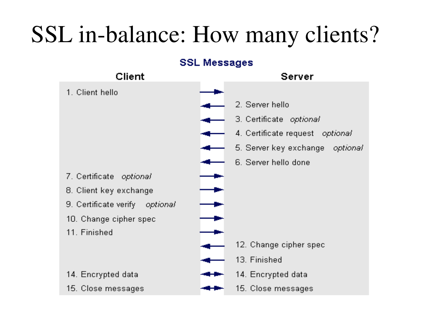#### SSL in-balance: How many clients?

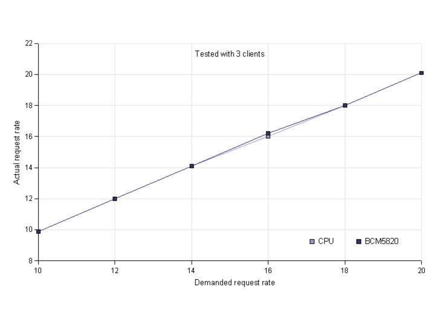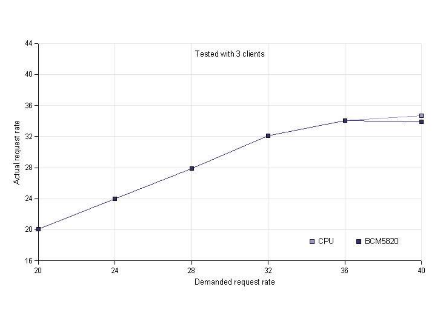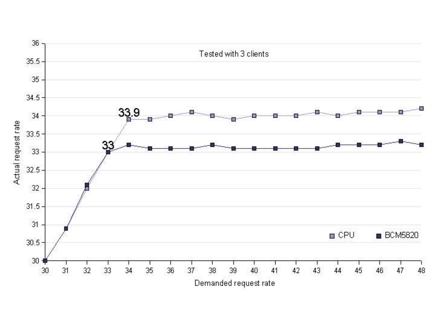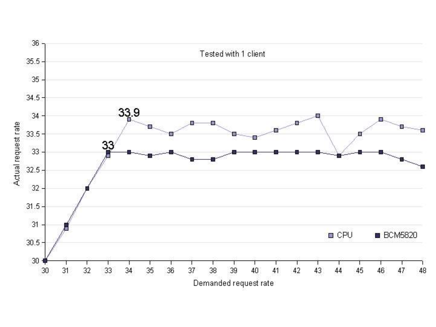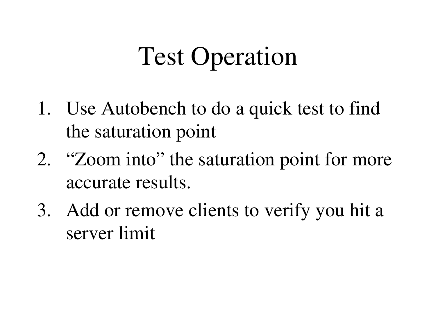# Test Operation

- 1. Use Autobench to do a quick test to find the saturation point
- 2. "Zoom into" the saturation point for more accurate results.
- 3. Add or remove clients to verify you hit a server limit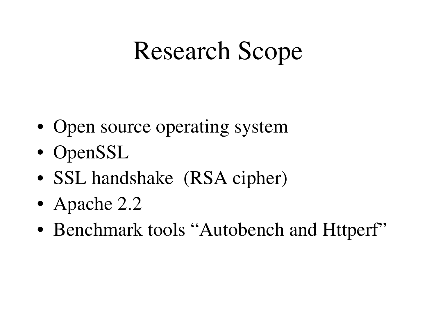## Research Scope

- Open source operating system
- OpenSSL
- SSL handshake (RSA cipher)
- Apache 2.2
- Benchmark tools "Autobench and Httperf"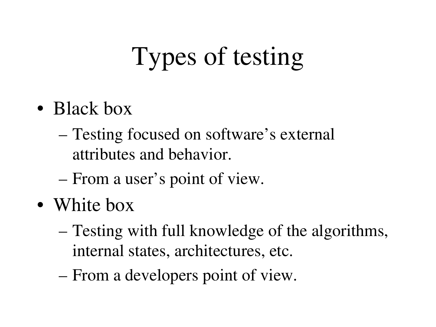# Types of testing

- Black box
	- Testing focused on software's external attributes and behavior.
	- From a user's point of view.
- White box
	- Testing with full knowledge of the algorithms, internal states, architectures, etc.
	- From a developers point of view.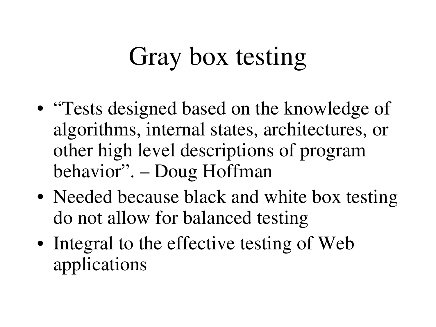# Gray box testing

- "Tests designed based on the knowledge of algorithms, internal states, architectures, or other high level descriptions of program behavior". – Doug Hoffman
- Needed because black and white box testing do not allow for balanced testing
- Integral to the effective testing of Web applications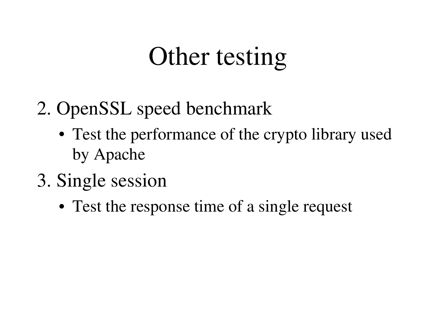## Other testing

- 2. OpenSSL speed benchmark
	- Test the performance of the crypto library used by Apache
- 3. Single session
	- Test the response time of a single request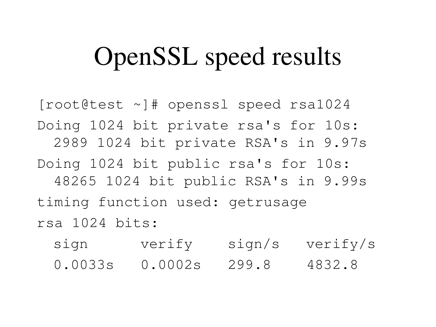## OpenSSL speed results

[root@test ~]# openssl speed rsa1024 Doing 1024 bit private rsa's for 10s: 2989 1024 bit private RSA's in 9.97s Doing 1024 bit public rsa's for 10s: 48265 1024 bit public RSA's in 9.99s timing function used: getrusage rsa 1024 bits:

sign verify sign/s verify/s 0.0033s 0.0002s 299.8 4832.8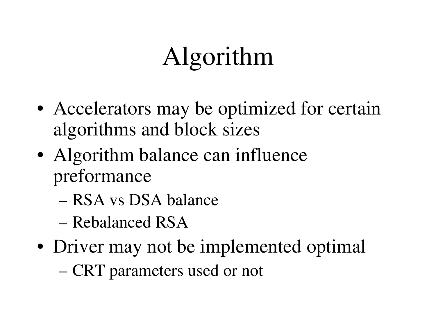# Algorithm

- Accelerators may be optimized for certain algorithms and block sizes
- Algorithm balance can influence preformance
	- RSA vs DSA balance
	- Rebalanced RSA
- Driver may not be implemented optimal
	- CRT parameters used or not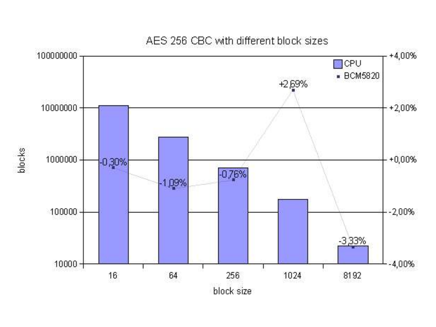

AES 256 CBC with different block sizes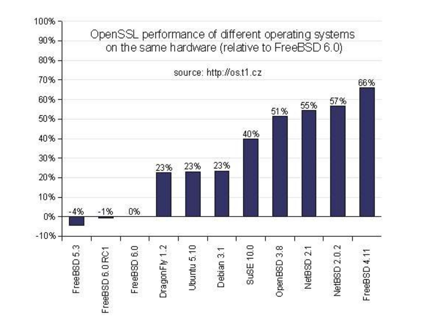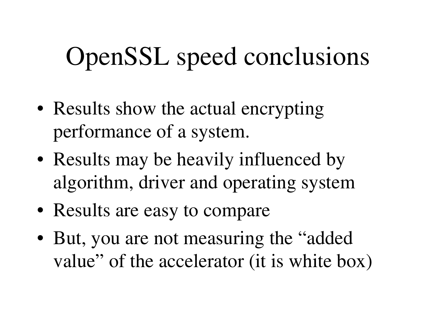## OpenSSL speed conclusions

- Results show the actual encrypting performance of a system.
- Results may be heavily influenced by algorithm, driver and operating system
- Results are easy to compare
- But, you are not measuring the "added" value" of the accelerator (it is white box)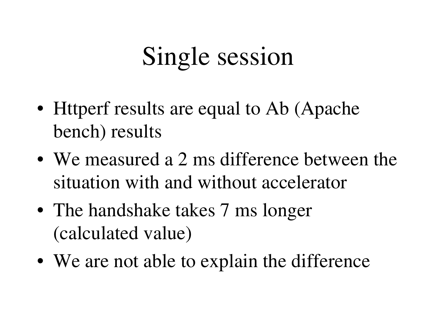## Single session

- Httperf results are equal to Ab (Apache bench) results
- We measured a 2 ms difference between the situation with and without accelerator
- The handshake takes 7 ms longer (calculated value)
- We are not able to explain the difference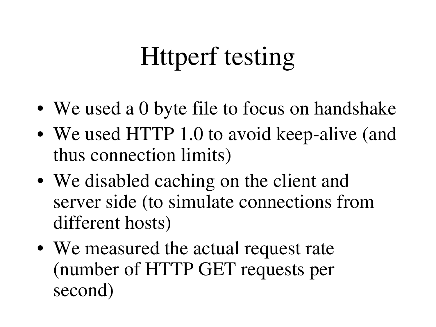# Httperf testing

- We used a 0 byte file to focus on handshake
- We used HTTP 1.0 to avoid keep-alive (and thus connection limits)
- We disabled caching on the client and server side (to simulate connections from different hosts)
- We measured the actual request rate (number of HTTP GET requests per second)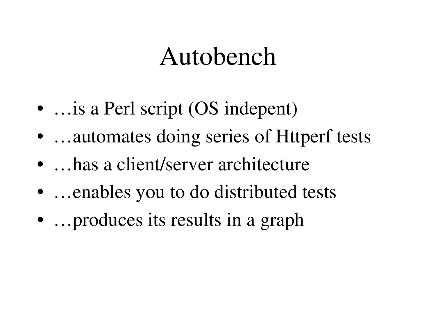### Autobench

- …is a Perl script (OS indepent)
- …automates doing series of Httperf tests
- …has a client/server architecture
- …enables you to do distributed tests
- ... produces its results in a graph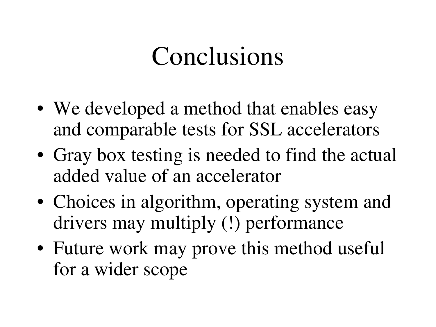## Conclusions

- We developed a method that enables easy and comparable tests for SSL accelerators
- Gray box testing is needed to find the actual added value of an accelerator
- Choices in algorithm, operating system and drivers may multiply (!) performance
- Future work may prove this method useful for a wider scope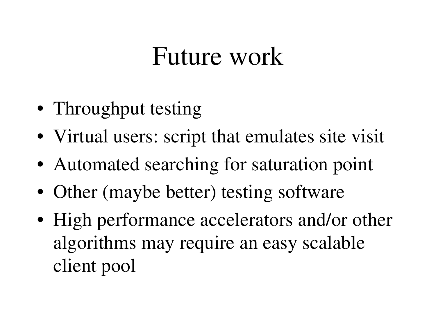#### Future work

- Throughput testing
- Virtual users: script that emulates site visit
- Automated searching for saturation point
- Other (maybe better) testing software
- High performance accelerators and/or other algorithms may require an easy scalable client pool